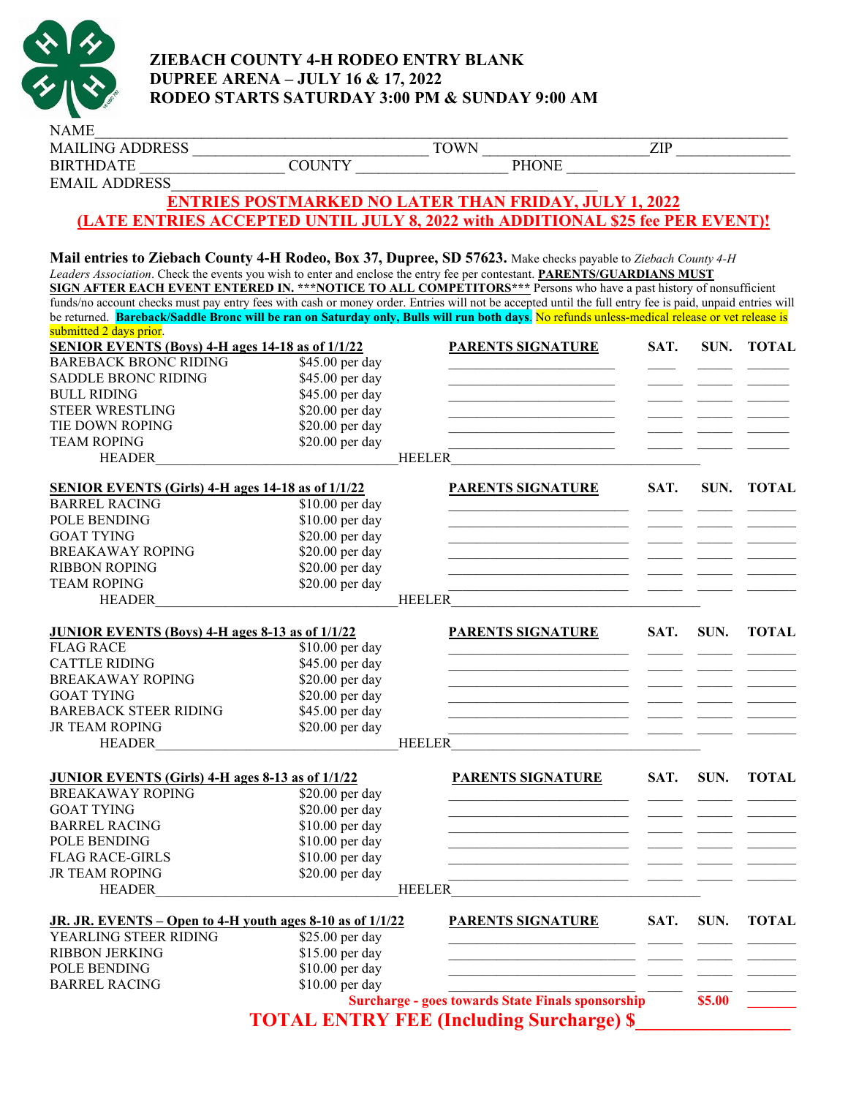

## **ZIEBACH COUNTY 4-H RODEO ENTRY BLANK DUPREE ARENA – JULY 16 & 17, 2022 RODEO STARTS SATURDAY 3:00 PM & SUNDAY 9:00 AM**

| <b>NAME</b>                                                                                                                                                                                                                                                                     |                 |                                                                                |      |        |              |
|---------------------------------------------------------------------------------------------------------------------------------------------------------------------------------------------------------------------------------------------------------------------------------|-----------------|--------------------------------------------------------------------------------|------|--------|--------------|
| <b>MAILING ADDRESS</b>                                                                                                                                                                                                                                                          |                 | <b>TOWN</b>                                                                    | ZIP  |        |              |
| <b>BIRTHDATE</b>                                                                                                                                                                                                                                                                | <b>COUNTY</b>   | <b>PHONE</b>                                                                   |      |        |              |
| <b>EMAIL ADDRESS</b>                                                                                                                                                                                                                                                            |                 |                                                                                |      |        |              |
|                                                                                                                                                                                                                                                                                 |                 | <b>ENTRIES POSTMARKED NO LATER THAN FRIDAY, JULY 1, 2022</b>                   |      |        |              |
|                                                                                                                                                                                                                                                                                 |                 | (LATE ENTRIES ACCEPTED UNTIL JULY 8, 2022 with ADDITIONAL \$25 fee PER EVENT)! |      |        |              |
|                                                                                                                                                                                                                                                                                 |                 |                                                                                |      |        |              |
|                                                                                                                                                                                                                                                                                 |                 |                                                                                |      |        |              |
| Mail entries to Ziebach County 4-H Rodeo, Box 37, Dupree, SD 57623. Make checks payable to Ziebach County 4-H                                                                                                                                                                   |                 |                                                                                |      |        |              |
| Leaders Association. Check the events you wish to enter and enclose the entry fee per contestant. PARENTS/GUARDIANS MUST                                                                                                                                                        |                 |                                                                                |      |        |              |
| SIGN AFTER EACH EVENT ENTERED IN. *** NOTICE TO ALL COMPETITORS*** Persons who have a past history of nonsufficient<br>funds/no account checks must pay entry fees with cash or money order. Entries will not be accepted until the full entry fee is paid, unpaid entries will |                 |                                                                                |      |        |              |
| be returned. Bareback/Saddle Bronc will be ran on Saturday only, Bulls will run both days. No refunds unless-medical release or vet release is                                                                                                                                  |                 |                                                                                |      |        |              |
| submitted 2 days prior.                                                                                                                                                                                                                                                         |                 |                                                                                |      |        |              |
| <b>SENIOR EVENTS (Boys) 4-H ages 14-18 as of 1/1/22</b>                                                                                                                                                                                                                         |                 | <b>PARENTS SIGNATURE</b>                                                       | SAT. | SUN.   | <b>TOTAL</b> |
| <b>BAREBACK BRONC RIDING</b>                                                                                                                                                                                                                                                    | \$45.00 per day |                                                                                |      |        |              |
| SADDLE BRONC RIDING                                                                                                                                                                                                                                                             | \$45.00 per day |                                                                                |      |        |              |
| <b>BULL RIDING</b>                                                                                                                                                                                                                                                              | \$45.00 per day |                                                                                |      |        |              |
| <b>STEER WRESTLING</b>                                                                                                                                                                                                                                                          | \$20.00 per day |                                                                                |      |        |              |
| TIE DOWN ROPING                                                                                                                                                                                                                                                                 | \$20.00 per day |                                                                                |      |        |              |
| <b>TEAM ROPING</b>                                                                                                                                                                                                                                                              | \$20.00 per day |                                                                                |      |        |              |
| <b>HEADER</b>                                                                                                                                                                                                                                                                   |                 | <b>HEELER</b>                                                                  |      |        |              |
|                                                                                                                                                                                                                                                                                 |                 |                                                                                |      |        |              |
| <b>SENIOR EVENTS (Girls) 4-H ages 14-18 as of 1/1/22</b>                                                                                                                                                                                                                        |                 | <b>PARENTS SIGNATURE</b>                                                       | SAT. | SUN.   | <b>TOTAL</b> |
| <b>BARREL RACING</b>                                                                                                                                                                                                                                                            | \$10.00 per day |                                                                                |      |        |              |
| POLE BENDING                                                                                                                                                                                                                                                                    | \$10.00 per day |                                                                                |      |        |              |
| <b>GOAT TYING</b>                                                                                                                                                                                                                                                               | \$20.00 per day |                                                                                |      |        |              |
| <b>BREAKAWAY ROPING</b>                                                                                                                                                                                                                                                         | \$20.00 per day |                                                                                |      |        |              |
| <b>RIBBON ROPING</b>                                                                                                                                                                                                                                                            | \$20.00 per day |                                                                                |      |        |              |
| <b>TEAM ROPING</b>                                                                                                                                                                                                                                                              | \$20.00 per day |                                                                                |      |        |              |
| <b>HEADER</b>                                                                                                                                                                                                                                                                   |                 | <b>HEELER</b>                                                                  |      |        |              |
| <b>JUNIOR EVENTS (Boys) 4-H ages 8-13 as of 1/1/22</b>                                                                                                                                                                                                                          |                 | <b>PARENTS SIGNATURE</b>                                                       | SAT. | SUN.   | <b>TOTAL</b> |
| <b>FLAG RACE</b>                                                                                                                                                                                                                                                                | \$10.00 per day |                                                                                |      |        |              |
| <b>CATTLE RIDING</b>                                                                                                                                                                                                                                                            | \$45.00 per day |                                                                                |      |        |              |
| <b>BREAKAWAY ROPING</b>                                                                                                                                                                                                                                                         | \$20.00 per day |                                                                                |      |        |              |
| <b>GOAT TYING</b>                                                                                                                                                                                                                                                               | \$20.00 per day |                                                                                |      |        |              |
| <b>BAREBACK STEER RIDING</b>                                                                                                                                                                                                                                                    | \$45.00 per day |                                                                                |      |        |              |
| <b>JR TEAM ROPING</b>                                                                                                                                                                                                                                                           | \$20.00 per day |                                                                                |      |        |              |
| <b>HEADER</b>                                                                                                                                                                                                                                                                   |                 | <b>HEELER</b>                                                                  |      |        |              |
|                                                                                                                                                                                                                                                                                 |                 |                                                                                |      |        |              |
| <b>JUNIOR EVENTS (Girls) 4-H ages 8-13 as of 1/1/22</b>                                                                                                                                                                                                                         |                 | <b>PARENTS SIGNATURE</b>                                                       | SAT. | SUN.   | <b>TOTAL</b> |
| <b>BREAKAWAY ROPING</b>                                                                                                                                                                                                                                                         | \$20.00 per day |                                                                                |      |        |              |
| <b>GOAT TYING</b>                                                                                                                                                                                                                                                               | \$20.00 per day |                                                                                |      |        |              |
| <b>BARREL RACING</b>                                                                                                                                                                                                                                                            | \$10.00 per day |                                                                                |      |        |              |
| POLE BENDING                                                                                                                                                                                                                                                                    | \$10.00 per day |                                                                                |      |        |              |
| <b>FLAG RACE-GIRLS</b>                                                                                                                                                                                                                                                          | \$10.00 per day |                                                                                |      |        |              |
| <b>JR TEAM ROPING</b>                                                                                                                                                                                                                                                           | \$20.00 per day |                                                                                |      |        |              |
| <b>HEADER</b>                                                                                                                                                                                                                                                                   |                 | <b>HEELER</b>                                                                  |      |        |              |
|                                                                                                                                                                                                                                                                                 |                 |                                                                                |      |        |              |
| JR. JR. EVENTS - Open to 4-H youth ages 8-10 as of 1/1/22                                                                                                                                                                                                                       |                 | <b>PARENTS SIGNATURE</b>                                                       | SAT. | SUN.   | <b>TOTAL</b> |
| YEARLING STEER RIDING                                                                                                                                                                                                                                                           | \$25.00 per day |                                                                                |      |        |              |
| <b>RIBBON JERKING</b>                                                                                                                                                                                                                                                           | \$15.00 per day |                                                                                |      |        |              |
| POLE BENDING                                                                                                                                                                                                                                                                    | \$10.00 per day |                                                                                |      |        |              |
| <b>BARREL RACING</b>                                                                                                                                                                                                                                                            | \$10.00 per day |                                                                                |      |        |              |
|                                                                                                                                                                                                                                                                                 |                 | <b>Surcharge - goes towards State Finals sponsorship</b>                       |      | \$5.00 |              |
|                                                                                                                                                                                                                                                                                 |                 | <b>TOTAL ENTRY FEE (Including Surcharge) \$</b>                                |      |        |              |